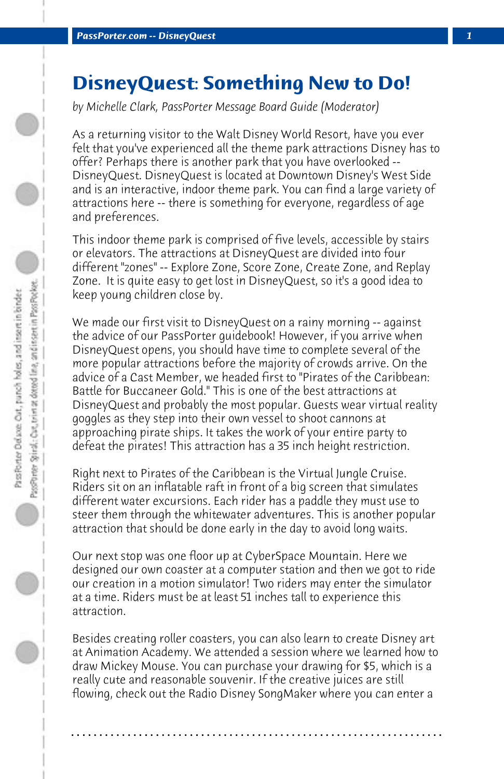## **DisneyQuest: Something New to Do!**

*by Michelle Clark, PassPorter Message Board Guide (Moderator)*

As a returning visitor to the Walt Disney World Resort, have you ever felt that you've experienced all the theme park attractions Disney has to offer? Perhaps there is another park that you have overlooked -- DisneyQuest. DisneyQuest is located at Downtown Disney's West Side and is an interactive, indoor theme park. You can find a large variety of attractions here -- there is something for everyone, regardless of age and preferences.

This indoor theme park is comprised of five levels, accessible by stairs or elevators. The attractions at DisneyQuest are divided into four different "zones" -- Explore Zone, Score Zone, Create Zone, and Replay Zone. It is quite easy to get lost in DisneyQuest, so it's a good idea to keep young children close by.

We made our first visit to DisneyQuest on a rainy morning -- against the advice of our PassPorter guidebook! However, if you arrive when DisneyQuest opens, you should have time to complete several of the more popular attractions before the majority of crowds arrive. On the advice of a Cast Member, we headed first to "Pirates of the Caribbean: Battle for Buccaneer Gold." This is one of the best attractions at DisneyQuest and probably the most popular. Guests wear virtual reality goggles as they step into their own vessel to shoot cannons at approaching pirate ships. It takes the work of your entire party to defeat the pirates! This attraction has a 35 inch height restriction.

Right next to Pirates of the Caribbean is the Virtual Jungle Cruise. Riders sit on an inflatable raft in front of a big screen that simulates different water excursions. Each rider has a paddle they must use to steer them through the whitewater adventures. This is another popular attraction that should be done early in the day to avoid long waits.

Our next stop was one floor up at CyberSpace Mountain. Here we designed our own coaster at a computer station and then we got to ride our creation in a motion simulator! Two riders may enter the simulator at a time. Riders must be at least 51 inches tall to experience this attraction.

Besides creating roller coasters, you can also learn to create Disney art at Animation Academy. We attended a session where we learned how to draw Mickey Mouse. You can purchase your drawing for \$5, which is a really cute and reasonable souvenir. If the creative juices are still flowing, check out the Radio Disney SongMaker where you can enter a

**. . . . . . . . . . . . . . . . . . . . . . . . . . . . . . . . . . . . . . . . . . . . . . . . . . . . . . . . . . . . . . . . . .**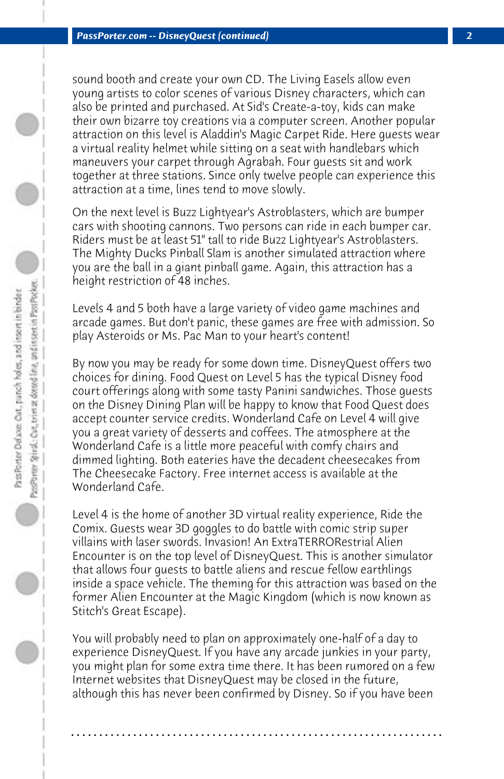sound booth and create your own CD. The Living Easels allow even young artists to color scenes of various Disney characters, which can also be printed and purchased. At Sid's Create-a-toy, kids can make their own bizarre toy creations via a computer screen. Another popular attraction on this level is Aladdin's Magic Carpet Ride. Here guests wear a virtual reality helmet while sitting on a seat with handlebars which maneuvers your carpet through Agrabah. Four guests sit and work together at three stations. Since only twelve people can experience this attraction at a time, lines tend to move slowly.

On the next level is Buzz Lightyear's Astroblasters, which are bumper cars with shooting cannons. Two persons can ride in each bumper car. Riders must be at least 51" tall to ride Buzz Lightyear's Astroblasters. The Mighty Ducks Pinball Slam is another simulated attraction where you are the ball in a giant pinball game. Again, this attraction has a height restriction of 48 inches.

Levels 4 and 5 both have a large variety of video game machines and arcade games. But don't panic, these games are free with admission. So play Asteroids or Ms. Pac Man to your heart's content!

By now you may be ready for some down time. DisneyQuest offers two choices for dining. Food Quest on Level 5 has the typical Disney food court offerings along with some tasty Panini sandwiches. Those guests on the Disney Dining Plan will be happy to know that Food Quest does accept counter service credits. Wonderland Cafe on Level 4 will give you a great variety of desserts and coffees. The atmosphere at the Wonderland Cafe is a little more peaceful with comfy chairs and dimmed lighting. Both eateries have the decadent cheesecakes from The Cheesecake Factory. Free internet access is available at the Wonderland Cafe.

Level 4 is the home of another 3D virtual reality experience, Ride the Comix. Guests wear 3D goggles to do battle with comic strip super villains with laser swords. Invasion! An ExtraTERRORestrial Alien Encounter is on the top level of DisneyQuest. This is another simulator that allows four guests to battle aliens and rescue fellow earthlings inside a space vehicle. The theming for this attraction was based on the former Alien Encounter at the Magic Kingdom (which is now known as Stitch's Great Escape).

You will probably need to plan on approximately one-half of a day to experience DisneyQuest. If you have any arcade junkies in your party, you might plan for some extra time there. It has been rumored on a few Internet websites that DisneyQuest may be closed in the future, although this has never been confirmed by Disney. So if you have been

**. . . . . . . . . . . . . . . . . . . . . . . . . . . . . . . . . . . . . . . . . . . . . . . . . . . . . . . . . . . . . . . . . .**